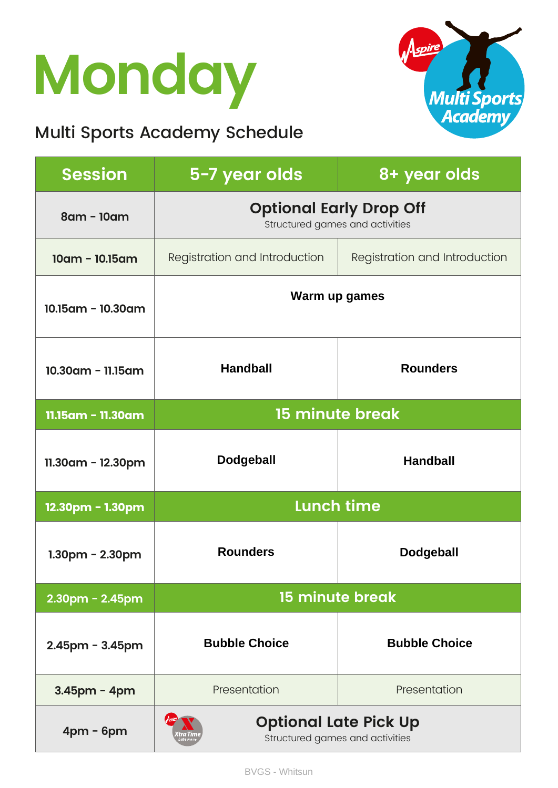## **Monday**

### Multi Sports Academy Schedule



| <b>Session</b>        | 5-7 year olds                                                     | 8+ year olds                  |
|-----------------------|-------------------------------------------------------------------|-------------------------------|
| 8am - 10am            | <b>Optional Early Drop Off</b><br>Structured games and activities |                               |
| $10am - 10.15am$      | Registration and Introduction                                     | Registration and Introduction |
| 10.15am - 10.30am     | Warm up games                                                     |                               |
| 10.30am - 11.15am     | <b>Handball</b>                                                   | <b>Rounders</b>               |
| 11.15am - 11.30am     | <b>15 minute break</b>                                            |                               |
| $11.30$ am - 12.30pm  | <b>Dodgeball</b>                                                  | <b>Handball</b>               |
| 12.30pm - 1.30pm      | <b>Lunch time</b>                                                 |                               |
| $1.30pm - 2.30pm$     | <b>Rounders</b>                                                   | <b>Dodgeball</b>              |
| $2.30$ pm - $2.45$ pm | 15 minute break                                                   |                               |
| $2.45$ pm - $3.45$ pm | <b>Bubble Choice</b>                                              | <b>Bubble Choice</b>          |
| $3.45$ pm - 4pm       | Presentation                                                      | Presentation                  |
| $4pm - 6pm$           | <b>Optional Late Pick Up</b><br>Structured games and activities   |                               |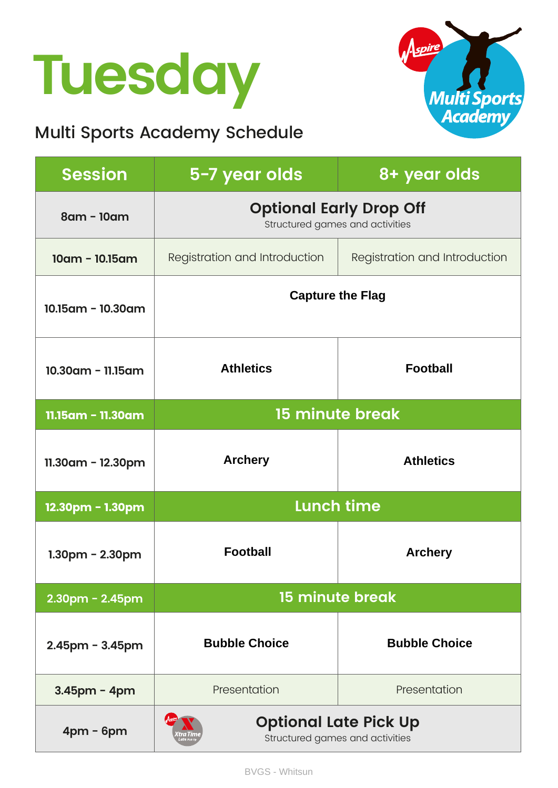## **Tuesday**

### Multi Sports Academy Schedule



| <b>Session</b>        | 5-7 year olds                                                     | 8+ year olds                  |
|-----------------------|-------------------------------------------------------------------|-------------------------------|
| 8am - 10am            | <b>Optional Early Drop Off</b><br>Structured games and activities |                               |
| $10am - 10.15am$      | Registration and Introduction                                     | Registration and Introduction |
| 10.15am - 10.30am     | <b>Capture the Flag</b>                                           |                               |
| $10.30$ am - 11.15am  | <b>Athletics</b>                                                  | <b>Football</b>               |
| 11.15am - 11.30am     | <b>15 minute break</b>                                            |                               |
| 11.30am - 12.30pm     | <b>Archery</b>                                                    | <b>Athletics</b>              |
| 12.30pm - 1.30pm      | <b>Lunch time</b>                                                 |                               |
| $1.30pm - 2.30pm$     | <b>Football</b>                                                   | <b>Archery</b>                |
| 2.30pm - 2.45pm       | 15 minute break                                                   |                               |
| $2.45$ pm - $3.45$ pm | <b>Bubble Choice</b>                                              | <b>Bubble Choice</b>          |
| 3.45pm - 4pm          | Presentation                                                      | Presentation                  |
| $4pm - 6pm$           | <b>Optional Late Pick Up</b><br>Structured games and activities   |                               |